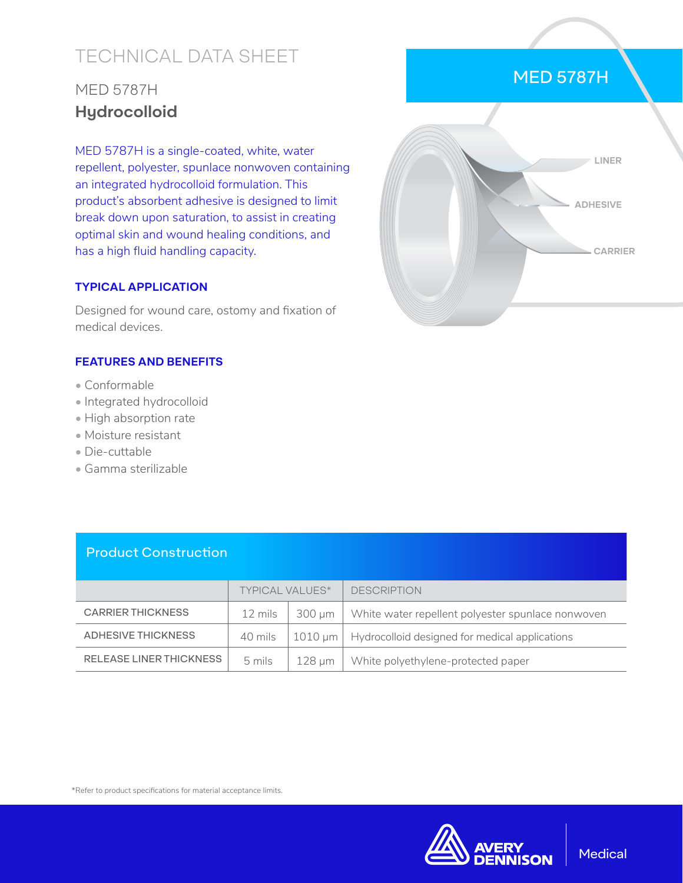# TECHNICAL DATA SHEET

## MED 5787H **Hydrocolloid**

MED 5787H is a single-coated, white, water repellent, polyester, spunlace nonwoven containing an integrated hydrocolloid formulation. This product's absorbent adhesive is designed to limit break down upon saturation, to assist in creating optimal skin and wound healing conditions, and has a high fluid handling capacity.

#### **TYPICAL APPLICATION**

Designed for wound care, ostomy and fixation of medical devices.

#### **FEATURES AND BENEFITS**

- Conformable
- Integrated hydrocolloid
- High absorption rate
- Moisture resistant
- Die-cuttable
- Gamma sterilizable



MED 5787H

#### Product Construction

|                                | <b>TYPICAL VALUES*</b> |          | <b>DESCRIPTION</b>                                                          |
|--------------------------------|------------------------|----------|-----------------------------------------------------------------------------|
| <b>CARRIER THICKNESS</b>       | 12 mils                | 300 um 1 | White water repellent polyester spunlace nonwoven                           |
| ADHESIVE THICKNESS             | 40 mils                |          | $\vert$ 1010 $\mu$ m $\vert$ Hydrocolloid designed for medical applications |
| <b>RELEASE LINER THICKNESS</b> | 5 mils                 | 128 µm   | White polyethylene-protected paper                                          |